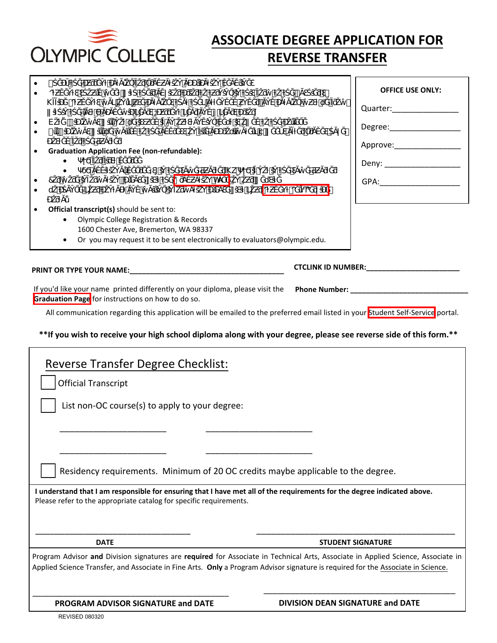| <b>OLYMPIC COLLEGE</b> |  |
|------------------------|--|

## **ASSOCIATE DEGREE APPLICATION FOR REVERSE TRANSFER**

## **OFFICE USE ONLY:**  Quarter: Degree: Approve: Deny:  $\_\_$ GPA:\_\_\_\_\_\_\_\_\_\_\_\_\_\_\_\_\_\_  $\bullet$   $\#$  $\bullet$   $\bullet$   $\bullet$ KĨŎ ǁŝƚŚŝŶƚŚĞůĂƐƚϴĂĐĂĚĞŵŝĐLJĞĂƌƐ;ĐƵƌƌĞŶƚLJĞĂƌĂŶĚϳLJĞĂƌƐƉƌŝŽƌͿ͘ EŽƚĞ͗ŝƉůŽŵĂƐǁŝůůŶŽƚďĞŝƐƐƵĞĚŝĨĂŶŽƵƚƐƚĂŶĚŝŶŐĚĞďƚŝƐŽǁĞĚƚŽƚŚĞĐŽůůĞŐĞ͘ ůůŝƉůŽŵĂƐǁŝůůďĞŵĂŝůĞĚƚŽƚŚĞĂĚĚƌĞƐƐŽŶĨŝůĞĂƉƉƌŽdžŝŵĂƚĞůLJϲǁĞĞŬƐĂĨƚĞƌŐƌĂĚĞƐŚĂǀĞ ƉŽƐƚĞĚĨŽƌƚŚĞƋƵĂƌƚĞƌ͘ **Graduation Application Fee (non-refundable):** • Ψ<sub>Τ</sub>άδιος Φ •  $\lambda$ k $\lambda$ ë $\lambda$ ës $\lambda$ ës $\lambda$ ës $\lambda$ ës $\lambda$ ës $\lambda$ å $\lambda$ ës $\lambda$  $\bullet$  7  $\bullet$  7  $\bullet$   $\bullet$   $\bullet$   $\bullet$   $\bullet$  8  $\bullet$   $\bullet$  dŽĐŚĂŶŐĞLJŽƵƌĐŽŶƚĂĐƚĂŶĚŵĂŝůŝŶŐŝŶĨŽƌŵĂƚŝŽŶƉůĞĂƐĞǀŝƐŝƚLJŽƵƌ[^ƚƵĚĞŶƚ^ĞůĨͲ^ĞƌǀŝĐĞ](https://ptprd.ctclink.us/psp/ptprd/?cmd=login&languageCd=ENG&) **Official transcript(s)** should be sent to: • Olympic College Registration & Records 1600 Chester Ave, Bremerton, WA 98337 • Or you may request it to be sent electronically to evaluators@olympic.edu. **PRINT OR TYPE YOUR NAME: CTCLINK ID NUMBER:\_\_\_\_\_\_\_\_\_\_\_\_\_\_\_\_\_\_\_\_\_\_\_ Phone Number: \_\_\_\_\_\_\_\_\_\_\_\_\_\_\_\_\_\_\_\_\_\_\_\_\_\_\_\_\_** If you'd like your name printed differently on your diploma, please visit the All communication regarding this application will be emailed to the preferred email listed in your [Student Self-Service](https://ptprd.ctclink.us/psp/ptprd/?cmd=login&languageCd=ENG&) portal. **[Graduation Page](https://www.olympic.edu/current-students/graduation/graduation-approval-process)** for instructions on how to do so.

## **\*\*If you wish to receive your high school diploma along with your degree, please see reverse side of this form.\*\***

| <b>Reverse Transfer Degree Checklist:</b>                                                                                                                                                                                                                            |                                         |
|----------------------------------------------------------------------------------------------------------------------------------------------------------------------------------------------------------------------------------------------------------------------|-----------------------------------------|
| <b>Official Transcript</b>                                                                                                                                                                                                                                           |                                         |
| List non-OC course(s) to apply to your degree:                                                                                                                                                                                                                       |                                         |
|                                                                                                                                                                                                                                                                      |                                         |
|                                                                                                                                                                                                                                                                      |                                         |
| Residency requirements. Minimum of 20 OC credits maybe applicable to the degree.                                                                                                                                                                                     |                                         |
| I understand that I am responsible for ensuring that I have met all of the requirements for the degree indicated above.<br>Please refer to the appropriate catalog for specific requirements.                                                                        |                                         |
|                                                                                                                                                                                                                                                                      |                                         |
| <b>DATE</b>                                                                                                                                                                                                                                                          | <b>STUDENT SIGNATURE</b>                |
| Program Advisor and Division signatures are required for Associate in Technical Arts, Associate in Applied Science, Associate in<br>Applied Science Transfer, and Associate in Fine Arts. Only a Program Advisor signature is required for the Associate in Science. |                                         |
| PROGRAM ADVISOR SIGNATURE and DATE                                                                                                                                                                                                                                   | <b>DIVISION DEAN SIGNATURE and DATE</b> |